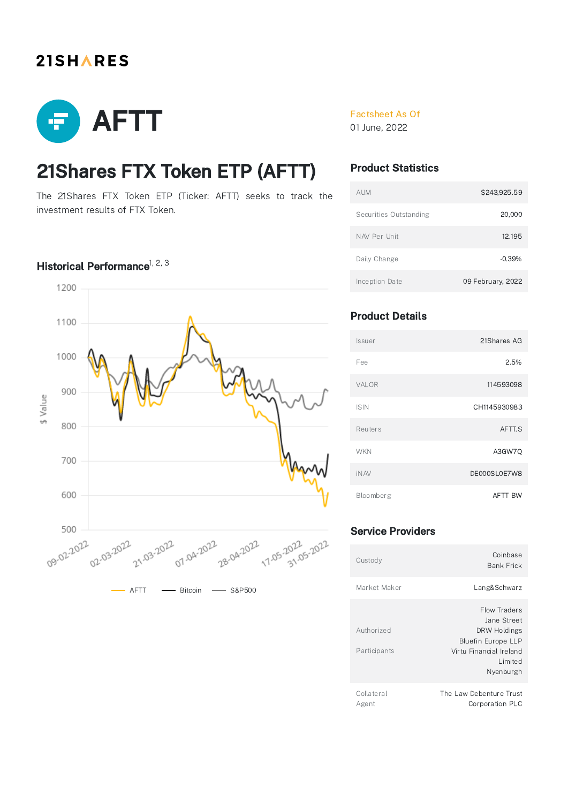## **21SHARES**



# 21Shares FTX Token ETP (AFTT)

The 21Shares FTX Token ETP (Ticker: AFTT) seeks to track the investment results of FTX Token.

### Historical Performance $1, 2, 3$



### Factsheet As Of

01 June, 2022

## Product Statistics

| <b>AUM</b>             | \$243,925.59      |
|------------------------|-------------------|
| Securities Outstanding | 20,000            |
| NAV Per Unit           | 12.195            |
| Daily Change           | $-0.39%$          |
| Inception Date         | 09 February, 2022 |

## Product Details

| Issuer      | 21Shares AG    |
|-------------|----------------|
| Fee         | 2.5%           |
| VALOR       | 114593098      |
| <b>ISIN</b> | CH1145930983   |
| Reuters     | AFTT.S         |
| <b>WKN</b>  | A3GW7O         |
| <b>iNAV</b> | DE000SL0E7W8   |
| Bloomberg   | <b>AFTT BW</b> |

### Service Providers

| Custody                    | Coinbase<br>Bank Frick                                                                                                       |
|----------------------------|------------------------------------------------------------------------------------------------------------------------------|
| Market Maker               | Lang&Schwarz                                                                                                                 |
| Authorized<br>Participants | Flow Traders<br>Jane Street<br>DRW Holdings<br><b>Bluefin Europe LLP</b><br>Virtu Financial Ireland<br>I imited<br>Nyenburgh |
| Collateral                 | The Law Debenture Trust                                                                                                      |

Agent

Corporation PLC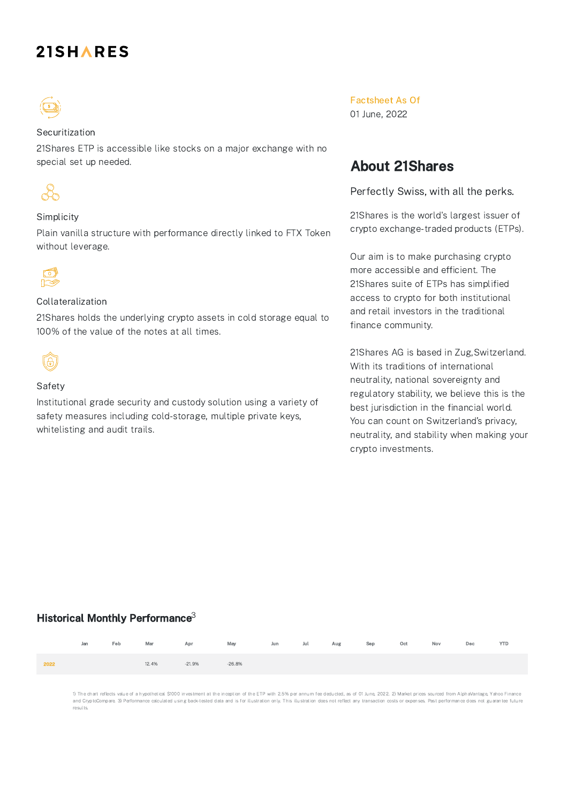## **21SHARES**



#### Securitization

21Shares ETP is accessible like stocks on a major exchange with no special set up needed.



#### Simplicity

Plain vanilla structure with performance directly linked to FTX Token without leverage.



#### Collateralization

21Shares holds the underlying crypto assets in cold storage equal to 100% of the value of the notes at all times.



#### Safety

Institutional grade security and custody solution using a variety of safety measures including cold-storage, multiple private keys, whitelisting and audit trails.

Factsheet As Of

01 June, 2022

## About 21Shares

Perfectly Swiss, with all the perks.

21Shares is the world's largest issuer of crypto exchange-traded products (ETPs).

Our aim is to make purchasing crypto more accessible and efficient. The 21Shares suite of ETPs has simplified access to crypto for both institutional and retail investors in the traditional finance community.

21Shares AG is based in Zug,Switzerland. With its traditions of international neutrality, national sovereignty and regulatory stability, we believe this is the best jurisdiction in the financial world. You can count on Switzerland's privacy, neutrality, and stability when making your crypto investments.

### Historical Monthly Performance $^3$

|      |  |                     | Jan Feb Mar Apr May Jun Jul Aug Sep Oct Nov Dec YTD |  |  |  |  |
|------|--|---------------------|-----------------------------------------------------|--|--|--|--|
| 2022 |  | 12.4% -21.9% -26.8% |                                                     |  |  |  |  |

1) The chart reflects value of a hypothetical \$1000 investment at the inception of the ETP with 2.5% per annum fee deducted, as of 01 June, 2022. 2) Market prices sourced from AlphaVantage, Yahoo Finance and CryptoCompare. 3) Performance calculated using back-tested data and is for illustration only. This illustration does not reflect any transaction costs or expenses. Past performance does not guarantee future results.